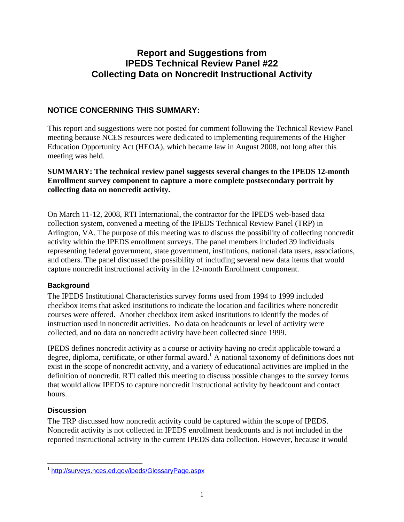# **Report and Suggestions from IPEDS Technical Review Panel #22 Collecting Data on Noncredit Instructional Activity**

# **NOTICE CONCERNING THIS SUMMARY:**

This report and suggestions were not posted for comment following the Technical Review Panel meeting because NCES resources were dedicated to implementing requirements of the Higher Education Opportunity Act (HEOA), which became law in August 2008, not long after this meeting was held.

# **SUMMARY: The technical review panel suggests several changes to the IPEDS 12-month Enrollment survey component to capture a more complete postsecondary portrait by collecting data on noncredit activity.**

On March 11-12, 2008, RTI International, the contractor for the IPEDS web-based data collection system, convened a meeting of the IPEDS Technical Review Panel (TRP) in Arlington, VA. The purpose of this meeting was to discuss the possibility of collecting noncredit activity within the IPEDS enrollment surveys. The panel members included 39 individuals representing federal government, state government, institutions, national data users, associations, and others. The panel discussed the possibility of including several new data items that would capture noncredit instructional activity in the 12-month Enrollment component.

# **Background**

The IPEDS Institutional Characteristics survey forms used from 1994 to 1999 included checkbox items that asked institutions to indicate the location and facilities where noncredit courses were offered. Another checkbox item asked institutions to identify the modes of instruction used in noncredit activities. No data on headcounts or level of activity were collected, and no data on noncredit activity have been collected since 1999.

IPEDS defines noncredit activity as a course or activity having no credit applicable toward a degree, diploma, certificate, or other formal award.<sup>1</sup> A national taxonomy of definitions does not exist in the scope of noncredit activity, and a variety of educational activities are implied in the definition of noncredit. RTI called this meeting to discuss possible changes to the survey forms that would allow IPEDS to capture noncredit instructional activity by headcount and contact hours.

# **Discussion**

 $\overline{a}$ 

The TRP discussed how noncredit activity could be captured within the scope of IPEDS. Noncredit activity is not collected in IPEDS enrollment headcounts and is not included in the reported instructional activity in the current IPEDS data collection. However, because it would

<sup>1</sup> http://surveys.nces.ed.gov/ipeds/GlossaryPage.aspx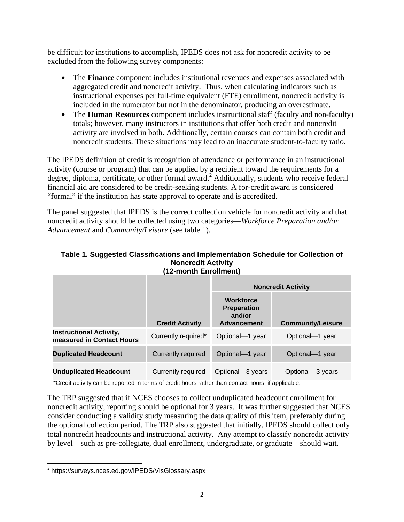be difficult for institutions to accomplish, IPEDS does not ask for noncredit activity to be excluded from the following survey components:

- The **Finance** component includes institutional revenues and expenses associated with aggregated credit and noncredit activity. Thus, when calculating indicators such as instructional expenses per full-time equivalent (FTE) enrollment, noncredit activity is included in the numerator but not in the denominator, producing an overestimate.
- The **Human Resources** component includes instructional staff (faculty and non-faculty) totals; however, many instructors in institutions that offer both credit and noncredit activity are involved in both. Additionally, certain courses can contain both credit and noncredit students. These situations may lead to an inaccurate student-to-faculty ratio.

The IPEDS definition of credit is recognition of attendance or performance in an instructional activity (course or program) that can be applied by a recipient toward the requirements for a degree, diploma, certificate, or other formal award.<sup>2</sup> Additionally, students who receive federal financial aid are considered to be credit-seeking students. A for-credit award is considered "formal" if the institution has state approval to operate and is accredited.

The panel suggested that IPEDS is the correct collection vehicle for noncredit activity and that noncredit activity should be collected using two categories—*Workforce Preparation and/or Advancement* and *Community/Leisure* (see table 1).

|                                                             |                        | <b>Noncredit Activity</b>                                              |                          |
|-------------------------------------------------------------|------------------------|------------------------------------------------------------------------|--------------------------|
|                                                             | <b>Credit Activity</b> | <b>Workforce</b><br><b>Preparation</b><br>and/or<br><b>Advancement</b> | <b>Community/Leisure</b> |
| <b>Instructional Activity,</b><br>measured in Contact Hours | Currently required*    | Optional-1 year                                                        | Optional-1 year          |
| <b>Duplicated Headcount</b>                                 | Currently required     | Optional-1 year                                                        | Optional-1 year          |
| <b>Unduplicated Headcount</b>                               | Currently required     | Optional-3 years                                                       | Optional-3 years         |

#### **Table 1. Suggested Classifications and Implementation Schedule for Collection of Noncredit Activity (12-month Enrollment)**

\*Credit activity can be reported in terms of credit hours rather than contact hours, if applicable.

The TRP suggested that if NCES chooses to collect unduplicated headcount enrollment for noncredit activity, reporting should be optional for 3 years. It was further suggested that NCES consider conducting a validity study measuring the data quality of this item, preferably during the optional collection period. The TRP also suggested that initially, IPEDS should collect only total noncredit headcounts and instructional activity. Any attempt to classify noncredit activity by level—such as pre-collegiate, dual enrollment, undergraduate, or graduate—should wait.

 $\overline{a}$ 

<sup>2</sup> https://surveys.nces.ed.gov/IPEDS/VisGlossary.aspx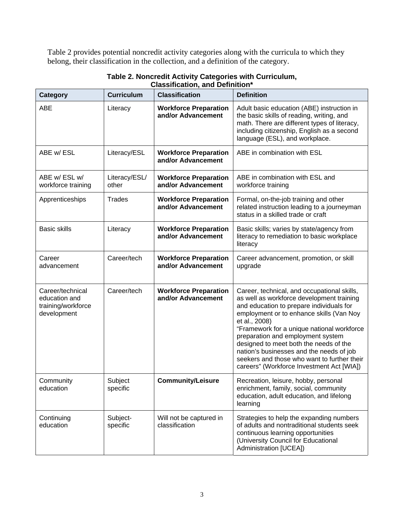Table 2 provides potential noncredit activity categories along with the curricula to which they belong, their classification in the collection, and a definition of the category.

| <b>Category</b>                                                        | <b>Curriculum</b>      | <b>Classification</b>                              | <b>Definition</b>                                                                                                                                                                                                                                                                                                                                                                                                                                                      |
|------------------------------------------------------------------------|------------------------|----------------------------------------------------|------------------------------------------------------------------------------------------------------------------------------------------------------------------------------------------------------------------------------------------------------------------------------------------------------------------------------------------------------------------------------------------------------------------------------------------------------------------------|
| <b>ABE</b>                                                             | Literacy               | <b>Workforce Preparation</b><br>and/or Advancement | Adult basic education (ABE) instruction in<br>the basic skills of reading, writing, and<br>math. There are different types of literacy,<br>including citizenship, English as a second<br>language (ESL), and workplace.                                                                                                                                                                                                                                                |
| ABE w/ ESL                                                             | Literacy/ESL           | <b>Workforce Preparation</b><br>and/or Advancement | ABE in combination with ESL                                                                                                                                                                                                                                                                                                                                                                                                                                            |
| ABE w/ESL w/<br>workforce training                                     | Literacy/ESL/<br>other | <b>Workforce Preparation</b><br>and/or Advancement | ABE in combination with ESL and<br>workforce training                                                                                                                                                                                                                                                                                                                                                                                                                  |
| Apprenticeships                                                        | <b>Trades</b>          | <b>Workforce Preparation</b><br>and/or Advancement | Formal, on-the-job training and other<br>related instruction leading to a journeyman<br>status in a skilled trade or craft                                                                                                                                                                                                                                                                                                                                             |
| <b>Basic skills</b>                                                    | Literacy               | <b>Workforce Preparation</b><br>and/or Advancement | Basic skills; varies by state/agency from<br>literacy to remediation to basic workplace<br>literacy                                                                                                                                                                                                                                                                                                                                                                    |
| Career<br>advancement                                                  | Career/tech            | <b>Workforce Preparation</b><br>and/or Advancement | Career advancement, promotion, or skill<br>upgrade                                                                                                                                                                                                                                                                                                                                                                                                                     |
| Career/technical<br>education and<br>training/workforce<br>development | Career/tech            | <b>Workforce Preparation</b><br>and/or Advancement | Career, technical, and occupational skills,<br>as well as workforce development training<br>and education to prepare individuals for<br>employment or to enhance skills (Van Noy<br>et al., 2008)<br>"Framework for a unique national workforce<br>preparation and employment system<br>designed to meet both the needs of the<br>nation's businesses and the needs of job<br>seekers and those who want to further their<br>careers" (Workforce Investment Act [WIA]) |
| Community<br>education                                                 | Subject<br>specific    | <b>Community/Leisure</b>                           | Recreation, leisure, hobby, personal<br>enrichment, family, social, community<br>education, adult education, and lifelong<br>learning                                                                                                                                                                                                                                                                                                                                  |
| Continuing<br>education                                                | Subject-<br>specific   | Will not be captured in<br>classification          | Strategies to help the expanding numbers<br>of adults and nontraditional students seek<br>continuous learning opportunities<br>(University Council for Educational<br>Administration [UCEA])                                                                                                                                                                                                                                                                           |

#### **Table 2. Noncredit Activity Categories with Curriculum, Classification, and Definition\***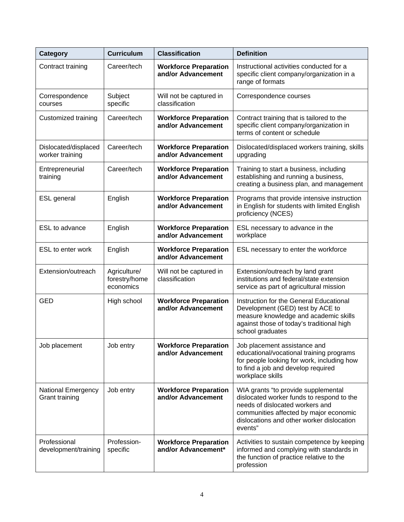| Category                                | <b>Curriculum</b>                          | <b>Classification</b>                               | <b>Definition</b>                                                                                                                                                                                                     |
|-----------------------------------------|--------------------------------------------|-----------------------------------------------------|-----------------------------------------------------------------------------------------------------------------------------------------------------------------------------------------------------------------------|
| Contract training                       | Career/tech                                | <b>Workforce Preparation</b><br>and/or Advancement  | Instructional activities conducted for a<br>specific client company/organization in a<br>range of formats                                                                                                             |
| Correspondence<br>courses               | Subject<br>specific                        | Will not be captured in<br>classification           | Correspondence courses                                                                                                                                                                                                |
| Customized training                     | Career/tech                                | <b>Workforce Preparation</b><br>and/or Advancement  | Contract training that is tailored to the<br>specific client company/organization in<br>terms of content or schedule                                                                                                  |
| Dislocated/displaced<br>worker training | Career/tech                                | <b>Workforce Preparation</b><br>and/or Advancement  | Dislocated/displaced workers training, skills<br>upgrading                                                                                                                                                            |
| Entrepreneurial<br>training             | Career/tech                                | <b>Workforce Preparation</b><br>and/or Advancement  | Training to start a business, including<br>establishing and running a business,<br>creating a business plan, and management                                                                                           |
| <b>ESL</b> general                      | English                                    | <b>Workforce Preparation</b><br>and/or Advancement  | Programs that provide intensive instruction<br>in English for students with limited English<br>proficiency (NCES)                                                                                                     |
| ESL to advance                          | English                                    | <b>Workforce Preparation</b><br>and/or Advancement  | ESL necessary to advance in the<br>workplace                                                                                                                                                                          |
| ESL to enter work                       | English                                    | <b>Workforce Preparation</b><br>and/or Advancement  | ESL necessary to enter the workforce                                                                                                                                                                                  |
| Extension/outreach                      | Agriculture/<br>forestry/home<br>economics | Will not be captured in<br>classification           | Extension/outreach by land grant<br>institutions and federal/state extension<br>service as part of agricultural mission                                                                                               |
| <b>GED</b>                              | High school                                | <b>Workforce Preparation</b><br>and/or Advancement  | Instruction for the General Educational<br>Development (GED) test by ACE to<br>measure knowledge and academic skills<br>against those of today's traditional high<br>school graduates                                 |
| Job placement                           | Job entry                                  | <b>Workforce Preparation</b><br>and/or Advancement  | Job placement assistance and<br>educational/vocational training programs<br>for people looking for work, including how<br>to find a job and develop required<br>workplace skills                                      |
| National Emergency<br>Grant training    | Job entry                                  | <b>Workforce Preparation</b><br>and/or Advancement  | WIA grants "to provide supplemental<br>dislocated worker funds to respond to the<br>needs of dislocated workers and<br>communities affected by major economic<br>dislocations and other worker dislocation<br>events" |
| Professional<br>development/training    | Profession-<br>specific                    | <b>Workforce Preparation</b><br>and/or Advancement* | Activities to sustain competence by keeping<br>informed and complying with standards in<br>the function of practice relative to the<br>profession                                                                     |